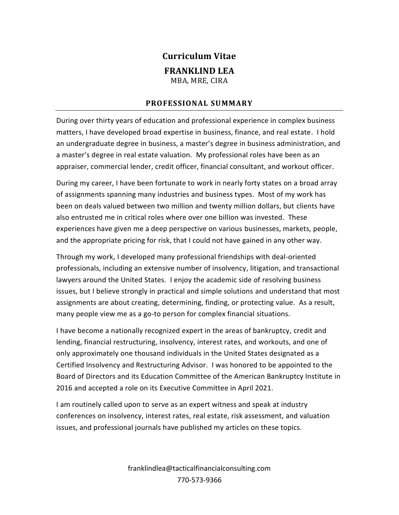# **Curriculum Vitae FRANKLIND LEA** MBA, MRE, CIRA

## **PROFESSIONAL SUMMARY**

During over thirty years of education and professional experience in complex business matters, I have developed broad expertise in business, finance, and real estate. I hold an undergraduate degree in business, a master's degree in business administration, and a master's degree in real estate valuation. My professional roles have been as an appraiser, commercial lender, credit officer, financial consultant, and workout officer.

During my career, I have been fortunate to work in nearly forty states on a broad array of assignments spanning many industries and business types. Most of my work has been on deals valued between two million and twenty million dollars, but clients have also entrusted me in critical roles where over one billion was invested. These experiences have given me a deep perspective on various businesses, markets, people, and the appropriate pricing for risk, that I could not have gained in any other way.

Through my work, I developed many professional friendships with deal-oriented professionals, including an extensive number of insolvency, litigation, and transactional lawyers around the United States. I enjoy the academic side of resolving business issues, but I believe strongly in practical and simple solutions and understand that most assignments are about creating, determining, finding, or protecting value. As a result, many people view me as a go-to person for complex financial situations.

I have become a nationally recognized expert in the areas of bankruptcy, credit and lending, financial restructuring, insolvency, interest rates, and workouts, and one of only approximately one thousand individuals in the United States designated as a Certified Insolvency and Restructuring Advisor. I was honored to be appointed to the Board of Directors and its Education Committee of the American Bankruptcy Institute in 2016 and accepted a role on its Executive Committee in April 2021.

I am routinely called upon to serve as an expert witness and speak at industry conferences on insolvency, interest rates, real estate, risk assessment, and valuation issues, and professional journals have published my articles on these topics.

> franklindlea@tacticalfinancialconsulting.com 770-573-9366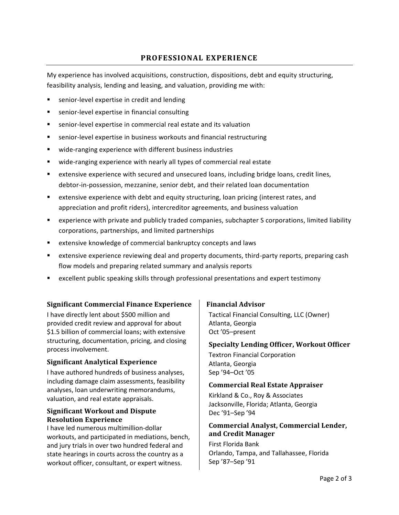# **PROFESSIONAL EXPERIENCE**

My experience has involved acquisitions, construction, dispositions, debt and equity structuring, feasibility analysis, lending and leasing, and valuation, providing me with:

- senior-level expertise in credit and lending
- senior-level expertise in financial consulting
- senior-level expertise in commercial real estate and its valuation
- senior-level expertise in business workouts and financial restructuring
- wide-ranging experience with different business industries
- wide-ranging experience with nearly all types of commercial real estate
- extensive experience with secured and unsecured loans, including bridge loans, credit lines, debtor-in-possession, mezzanine, senior debt, and their related loan documentation
- extensive experience with debt and equity structuring, loan pricing (interest rates, and appreciation and profit riders), intercreditor agreements, and business valuation
- experience with private and publicly traded companies, subchapter S corporations, limited liability corporations, partnerships, and limited partnerships
- extensive knowledge of commercial bankruptcy concepts and laws
- extensive experience reviewing deal and property documents, third-party reports, preparing cash flow models and preparing related summary and analysis reports
- excellent public speaking skills through professional presentations and expert testimony

## **Significant Commercial Finance Experience**

I have directly lent about \$500 million and provided credit review and approval for about \$1.5 billion of commercial loans; with extensive structuring, documentation, pricing, and closing process involvement.

#### **Significant Analytical Experience**

I have authored hundreds of business analyses, including damage claim assessments, feasibility analyses, loan underwriting memorandums, valuation, and real estate appraisals.

#### **Significant Workout and Dispute Resolution Experience**

I have led numerous multimillion-dollar workouts, and participated in mediations, bench, and jury trials in over two hundred federal and state hearings in courts across the country as a workout officer, consultant, or expert witness.

## **Financial Advisor**

Tactical Financial Consulting, LLC (Owner) Atlanta, Georgia Oct '05–present

#### **Specialty Lending Officer, Workout Officer**

Textron Financial Corporation Atlanta, Georgia Sep '94–Oct '05

#### **Commercial Real Estate Appraiser**

Kirkland & Co., Roy & Associates Jacksonville, Florida; Atlanta, Georgia Dec '91–Sep '94

## **Commercial Analyst, Commercial Lender, and Credit Manager**

First Florida Bank Orlando, Tampa, and Tallahassee, Florida Sep '87–Sep '91